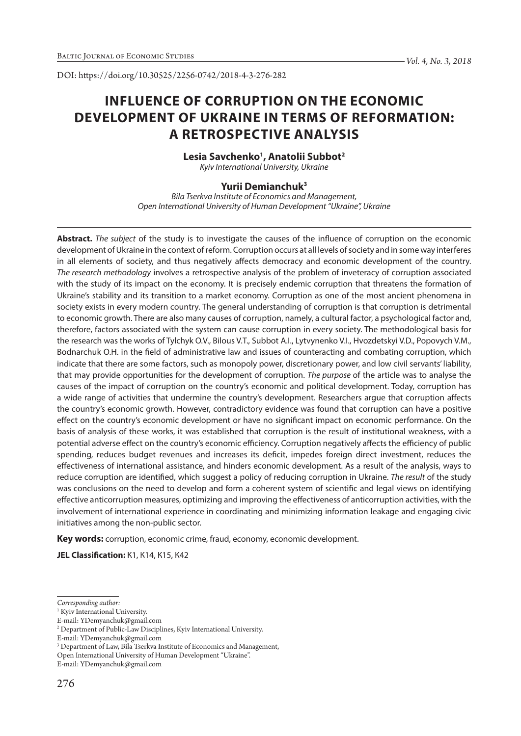DOI: https://doi.org/10.30525/2256-0742/2018-4-3-276-282

# **INFLUENCE OF CORRUPTION ON THE ECONOMIC DEVELOPMENT OF UKRAINE IN TERMS OF REFORMATION: A RETROSPECTIVE ANALYSIS**

# **Lesia Savchenko1 , Anatolii Subbot2**

*Kyiv International University, Ukraine*

### **Yurii Demianchuk3**

*Bila Tserkva Institute of Economics and Management, Open International University of Human Development "Ukraine", Ukraine*

**Abstract.** *The subject* of the study is to investigate the causes of the influence of corruption on the economic development of Ukraine in the context of reform. Corruption occurs at all levels of society and in some way interferes in all elements of society, and thus negatively affects democracy and economic development of the country. *The research methodology* involves a retrospective analysis of the problem of inveteracy of corruption associated with the study of its impact on the economy. It is precisely endemic corruption that threatens the formation of Ukraine's stability and its transition to a market economy. Corruption as one of the most ancient phenomena in society exists in every modern country. The general understanding of corruption is that corruption is detrimental to economic growth. There are also many causes of corruption, namely, a cultural factor, a psychological factor and, therefore, factors associated with the system can cause corruption in every society. The methodological basis for the research was the works of Tylchyk O.V., Bilous V.T., Subbot A.I., Lytvynenko V.I., Hvozdetskyi V.D., Popovych V.M., Bodnarchuk O.H. in the field of administrative law and issues of counteracting and combating corruption, which indicate that there are some factors, such as monopoly power, discretionary power, and low civil servants' liability, that may provide opportunities for the development of corruption. *The purpose* of the article was to analyse the causes of the impact of corruption on the country's economic and political development. Today, corruption has a wide range of activities that undermine the country's development. Researchers argue that corruption affects the country's economic growth. However, contradictory evidence was found that corruption can have a positive effect on the country's economic development or have no significant impact on economic performance. On the basis of analysis of these works, it was established that corruption is the result of institutional weakness, with a potential adverse effect on the country's economic efficiency. Corruption negatively affects the efficiency of public spending, reduces budget revenues and increases its deficit, impedes foreign direct investment, reduces the effectiveness of international assistance, and hinders economic development. As a result of the analysis, ways to reduce corruption are identified, which suggest a policy of reducing corruption in Ukraine. *The result* of the study was conclusions on the need to develop and form a coherent system of scientific and legal views on identifying effective anticorruption measures, optimizing and improving the effectiveness of anticorruption activities, with the involvement of international experience in coordinating and minimizing information leakage and engaging civic initiatives among the non-public sector.

**Key words:** corruption, economic crime, fraud, economy, economic development.

**JEL Classification:** К1, К14, К15, К42

*Corresponding author:*

<sup>&</sup>lt;sup>1</sup> Kyiv International University.

E-mail: YDemyanchuk@gmail.com

<sup>&</sup>lt;sup>2</sup> Department of Public-Law Disciplines, Kyiv International University.

E-mail: YDemyanchuk@gmail.com

<sup>3</sup> Department of Law, Bila Tserkva Institute of Economics and Management,

Open International University of Human Development "Ukraine".

E-mail: YDemyanchuk@gmail.com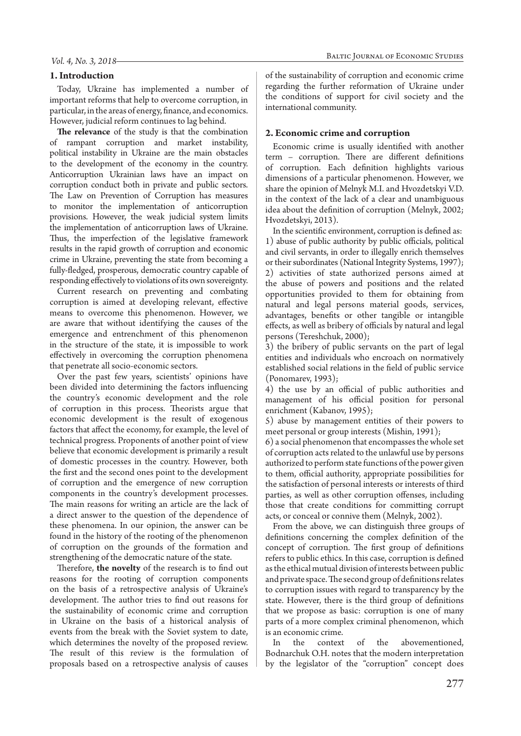### *Vol. 4, No. 3, 2018*

### **1. Introduction**

Today, Ukraine has implemented a number of important reforms that help to overcome corruption, in particular, in the areas of energy, finance, and economics. However, judicial reform continues to lag behind.

**The relevance** of the study is that the combination of rampant corruption and market instability, political instability in Ukraine are the main obstacles to the development of the economy in the country. Anticorruption Ukrainian laws have an impact on corruption conduct both in private and public sectors. The Law on Prevention of Corruption has measures to monitor the implementation of anticorruption provisions. However, the weak judicial system limits the implementation of anticorruption laws of Ukraine. Thus, the imperfection of the legislative framework results in the rapid growth of corruption and economic crime in Ukraine, preventing the state from becoming a fully-fledged, prosperous, democratic country capable of responding effectively to violations of its own sovereignty.

Current research on preventing and combating corruption is aimed at developing relevant, effective means to overcome this phenomenon. However, we are aware that without identifying the causes of the emergence and entrenchment of this phenomenon in the structure of the state, it is impossible to work effectively in overcoming the corruption phenomena that penetrate all socio-economic sectors.

Over the past few years, scientists' opinions have been divided into determining the factors influencing the country's economic development and the role of corruption in this process. Theorists argue that economic development is the result of exogenous factors that affect the economy, for example, the level of technical progress. Proponents of another point of view believe that economic development is primarily a result of domestic processes in the country. However, both the first and the second ones point to the development of corruption and the emergence of new corruption components in the country's development processes. The main reasons for writing an article are the lack of a direct answer to the question of the dependence of these phenomena. In our opinion, the answer can be found in the history of the rooting of the phenomenon of corruption on the grounds of the formation and strengthening of the democratic nature of the state.

Therefore, **the novelty** of the research is to find out reasons for the rooting of corruption components on the basis of a retrospective analysis of Ukraine's development. The author tries to find out reasons for the sustainability of economic crime and corruption in Ukraine on the basis of a historical analysis of events from the break with the Soviet system to date, which determines the novelty of the proposed review. The result of this review is the formulation of proposals based on a retrospective analysis of causes

of the sustainability of corruption and economic crime regarding the further reformation of Ukraine under the conditions of support for civil society and the international community.

### **2. Economic crime and corruption**

Economic crime is usually identified with another term – corruption. There are different definitions of corruption. Each definition highlights various dimensions of a particular phenomenon. However, we share the opinion of Melnyk M.I. and Hvozdetskyi V.D. in the context of the lack of a clear and unambiguous idea about the definition of corruption (Melnyk, 2002; Hvozdetskyi, 2013).

In the scientific environment, corruption is defined as: 1) abuse of public authority by public officials, political and civil servants, in order to illegally enrich themselves or their subordinates (National Integrity Systems, 1997); 2) activities of state authorized persons aimed at the abuse of powers and positions and the related opportunities provided to them for obtaining from natural and legal persons material goods, services, advantages, benefits or other tangible or intangible effects, as well as bribery of officials by natural and legal persons (Tereshchuk, 2000);

3) the bribery of public servants on the part of legal entities and individuals who encroach on normatively established social relations in the field of public service (Ponomarev, 1993);

4) the use by an official of public authorities and management of his official position for personal enrichment (Kabanov, 1995);

5) abuse by management entities of their powers to meet personal or group interests (Mishin, 1991);

6) a social phenomenon that encompasses the whole set of corruption acts related to the unlawful use by persons authorized to perform state functions of the power given to them, official authority, appropriate possibilities for the satisfaction of personal interests or interests of third parties, as well as other corruption offenses, including those that create conditions for committing corrupt acts, or conceal or connive them (Melnyk, 2002).

From the above, we can distinguish three groups of definitions concerning the complex definition of the concept of corruption. The first group of definitions refers to public ethics. In this case, corruption is defined as the ethical mutual division of interests between public and private space. The second group of definitions relates to corruption issues with regard to transparency by the state. However, there is the third group of definitions that we propose as basic: corruption is one of many parts of a more complex criminal phenomenon, which is an economic crime.

In the context of the abovementioned, Bodnarchuk O.H. notes that the modern interpretation by the legislator of the "corruption" concept does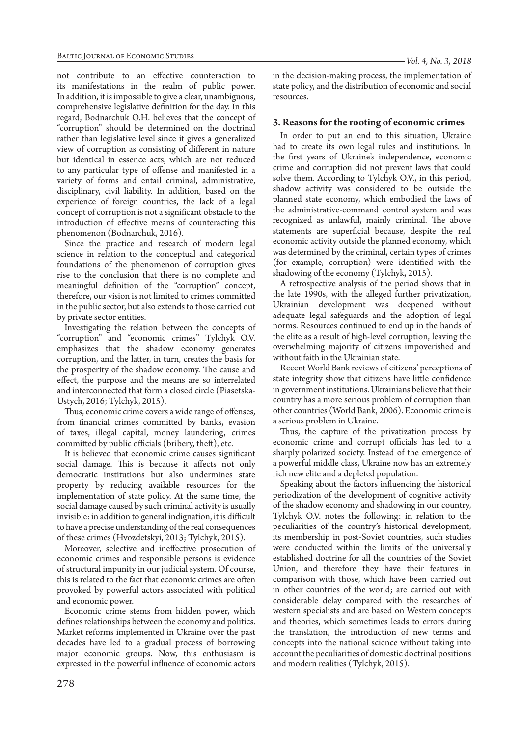not contribute to an effective counteraction to its manifestations in the realm of public power. In addition, it is impossible to give a clear, unambiguous, comprehensive legislative definition for the day. In this regard, Bodnarchuk O.H. believes that the concept of "corruption" should be determined on the doctrinal rather than legislative level since it gives a generalized view of corruption as consisting of different in nature but identical in essence acts, which are not reduced to any particular type of offense and manifested in a variety of forms and entail criminal, administrative, disciplinary, civil liability. In addition, based on the experience of foreign countries, the lack of a legal concept of corruption is not a significant obstacle to the introduction of effective means of counteracting this phenomenon (Bodnarchuk, 2016).

Since the practice and research of modern legal science in relation to the conceptual and categorical foundations of the phenomenon of corruption gives rise to the conclusion that there is no complete and meaningful definition of the "corruption" concept, therefore, our vision is not limited to crimes committed in the public sector, but also extends to those carried out by private sector entities.

Investigating the relation between the concepts of "corruption" and "economic crimes" Tylchyk O.V. emphasizes that the shadow economy generates corruption, and the latter, in turn, creates the basis for the prosperity of the shadow economy. The cause and effect, the purpose and the means are so interrelated and interconnected that form a closed circle (Piasetska-Ustych, 2016; Tylchyk, 2015).

Thus, economic crime covers a wide range of offenses, from financial crimes committed by banks, evasion of taxes, illegal capital, money laundering, crimes committed by public officials (bribery, theft), etc.

It is believed that economic crime causes significant social damage. This is because it affects not only democratic institutions but also undermines state property by reducing available resources for the implementation of state policy. At the same time, the social damage caused by such criminal activity is usually invisible: in addition to general indignation, it is difficult to have a precise understanding of the real consequences of these crimes (Hvozdetskyi, 2013; Tylchyk, 2015).

Moreover, selective and ineffective prosecution of economic crimes and responsible persons is evidence of structural impunity in our judicial system. Of course, this is related to the fact that economic crimes are often provoked by powerful actors associated with political and economic power.

Economic crime stems from hidden power, which defines relationships between the economy and politics. Market reforms implemented in Ukraine over the past decades have led to a gradual process of borrowing major economic groups. Now, this enthusiasm is expressed in the powerful influence of economic actors

278

in the decision-making process, the implementation of state policy, and the distribution of economic and social resources.

# **3. Reasons for the rooting of economic crimes**

In order to put an end to this situation, Ukraine had to create its own legal rules and institutions. In the first years of Ukraine's independence, economic crime and corruption did not prevent laws that could solve them. According to Tylchyk O.V., in this period, shadow activity was considered to be outside the planned state economy, which embodied the laws of the administrative-command control system and was recognized as unlawful, mainly criminal. The above statements are superficial because, despite the real economic activity outside the planned economy, which was determined by the criminal, certain types of crimes (for example, corruption) were identified with the shadowing of the economy (Tylchyk, 2015).

A retrospective analysis of the period shows that in the late 1990s, with the alleged further privatization, Ukrainian development was deepened without adequate legal safeguards and the adoption of legal norms. Resources continued to end up in the hands of the elite as a result of high-level corruption, leaving the overwhelming majority of citizens impoverished and without faith in the Ukrainian state.

Recent World Bank reviews of citizens' perceptions of state integrity show that citizens have little confidence in government institutions. Ukrainians believe that their country has a more serious problem of corruption than other countries (World Bank, 2006). Economic crime is a serious problem in Ukraine.

Thus, the capture of the privatization process by economic crime and corrupt officials has led to a sharply polarized society. Instead of the emergence of a powerful middle class, Ukraine now has an extremely rich new elite and a depleted population.

Speaking about the factors influencing the historical periodization of the development of cognitive activity of the shadow economy and shadowing in our country, Tylchyk O.V. notes the following: in relation to the peculiarities of the country's historical development, its membership in post-Soviet countries, such studies were conducted within the limits of the universally established doctrine for all the countries of the Soviet Union, and therefore they have their features in comparison with those, which have been carried out in other countries of the world; are carried out with considerable delay compared with the researches of western specialists and are based on Western concepts and theories, which sometimes leads to errors during the translation, the introduction of new terms and concepts into the national science without taking into account the peculiarities of domestic doctrinal positions and modern realities (Tylchyk, 2015).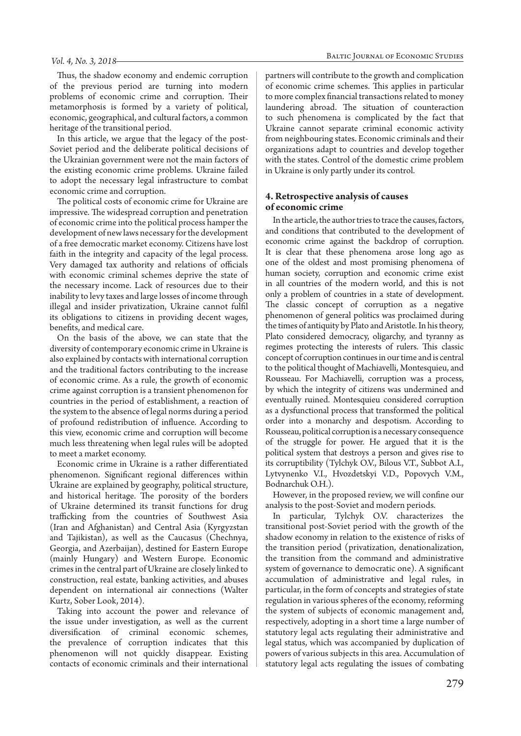Thus, the shadow economy and endemic corruption of the previous period are turning into modern problems of economic crime and corruption. Their metamorphosis is formed by a variety of political, economic, geographical, and cultural factors, a common heritage of the transitional period.

In this article, we argue that the legacy of the post-Soviet period and the deliberate political decisions of the Ukrainian government were not the main factors of the existing economic crime problems. Ukraine failed to adopt the necessary legal infrastructure to combat economic crime and corruption.

The political costs of economic crime for Ukraine are impressive. The widespread corruption and penetration of economic crime into the political process hamper the development of new laws necessary for the development of a free democratic market economy. Citizens have lost faith in the integrity and capacity of the legal process. Very damaged tax authority and relations of officials with economic criminal schemes deprive the state of the necessary income. Lack of resources due to their inability to levy taxes and large losses of income through illegal and insider privatization, Ukraine cannot fulfil its obligations to citizens in providing decent wages, benefits, and medical care.

On the basis of the above, we can state that the diversity of contemporary economic crime in Ukraine is also explained by contacts with international corruption and the traditional factors contributing to the increase of economic crime. As a rule, the growth of economic crime against corruption is a transient phenomenon for countries in the period of establishment, a reaction of the system to the absence of legal norms during a period of profound redistribution of influence. According to this view, economic crime and corruption will become much less threatening when legal rules will be adopted to meet a market economy.

Economic crime in Ukraine is a rather differentiated phenomenon. Significant regional differences within Ukraine are explained by geography, political structure, and historical heritage. The porosity of the borders of Ukraine determined its transit functions for drug trafficking from the countries of Southwest Asia (Iran and Afghanistan) and Central Asia (Kyrgyzstan and Tajikistan), as well as the Caucasus (Chechnya, Georgia, and Azerbaijan), destined for Eastern Europe (mainly Hungary) and Western Europe. Economic crimes in the central part of Ukraine are closely linked to construction, real estate, banking activities, and abuses dependent on international air connections (Walter Kurtz, Sober Look, 2014).

Taking into account the power and relevance of the issue under investigation, as well as the current diversification of criminal economic schemes, the prevalence of corruption indicates that this phenomenon will not quickly disappear. Existing contacts of economic criminals and their international

partners will contribute to the growth and complication of economic crime schemes. This applies in particular to more complex financial transactions related to money laundering abroad. The situation of counteraction to such phenomena is complicated by the fact that Ukraine cannot separate criminal economic activity from neighbouring states. Economic criminals and their organizations adapt to countries and develop together with the states. Control of the domestic crime problem in Ukraine is only partly under its control.

## **4. Retrospective analysis of causes of economic crime**

In the article, the author tries to trace the causes, factors, and conditions that contributed to the development of economic crime against the backdrop of corruption. It is clear that these phenomena arose long ago as one of the oldest and most promising phenomena of human society, corruption and economic crime exist in all countries of the modern world, and this is not only a problem of countries in a state of development. The classic concept of corruption as a negative phenomenon of general politics was proclaimed during the times of antiquity by Plato and Aristotle. In his theory, Plato considered democracy, oligarchy, and tyranny as regimes protecting the interests of rulers. This classic concept of corruption continues in our time and is central to the political thought of Machiavelli, Montesquieu, and Rousseau. For Machiavelli, corruption was a process, by which the integrity of citizens was undermined and eventually ruined. Montesquieu considered corruption as a dysfunctional process that transformed the political order into a monarchy and despotism. According to Rousseau, political corruption is a necessary consequence of the struggle for power. He argued that it is the political system that destroys a person and gives rise to its corruptibility (Tylchyk O.V., Bilous V.T., Subbot A.I., Lytvynenko V.I., Hvozdetskyi V.D., Popovych V.M., Bodnarchuk O.H.).

However, in the proposed review, we will confine our analysis to the post-Soviet and modern periods.

In particular, Tylchyk O.V. characterizes the transitional post-Soviet period with the growth of the shadow economy in relation to the existence of risks of the transition period (privatization, denationalization, the transition from the command and administrative system of governance to democratic one). A significant accumulation of administrative and legal rules, in particular, in the form of concepts and strategies of state regulation in various spheres of the economy, reforming the system of subjects of economic management and, respectively, adopting in a short time a large number of statutory legal acts regulating their administrative and legal status, which was accompanied by duplication of powers of various subjects in this area. Accumulation of statutory legal acts regulating the issues of combating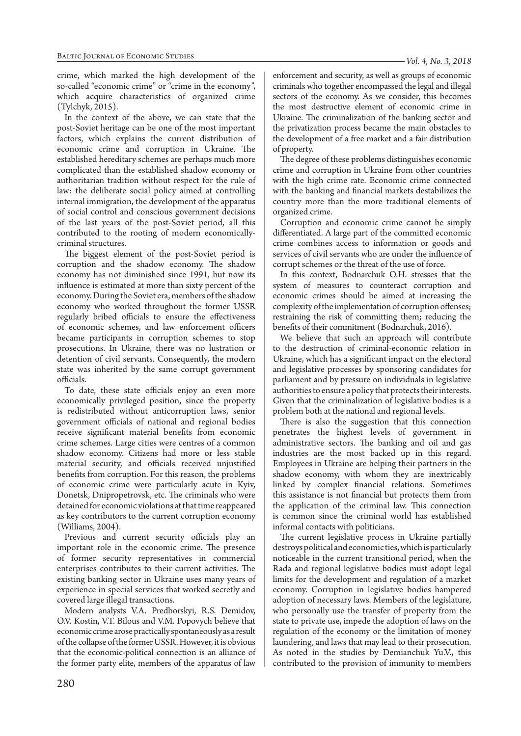crime, which marked the high development of the so-called "economic crime" or "crime in the economy", which acquire characteristics of organized crime (Tylchyk, 2015).

In the context of the above, we can state that the post-Soviet heritage can be one of the most important factors, which explains the current distribution of economic crime and corruption in Ukraine. The established hereditary schemes are perhaps much more complicated than the established shadow economy or authoritarian tradition without respect for the rule of law: the deliberate social policy aimed at controlling internal immigration, the development of the apparatus of social control and conscious government decisions of the last years of the post-Soviet period, all this contributed to the rooting of modern economicallycriminal structures.

The biggest element of the post-Soviet period is corruption and the shadow economy. The shadow economy has not diminished since 1991, but now its influence is estimated at more than sixty percent of the economy. During the Soviet era, members of the shadow economy who worked throughout the former USSR regularly bribed officials to ensure the effectiveness of economic schemes, and law enforcement officers became participants in corruption schemes to stop prosecutions. In Ukraine, there was no lustration or detention of civil servants. Consequently, the modern state was inherited by the same corrupt government officials.

To date, these state officials enjoy an even more economically privileged position, since the property is redistributed without anticorruption laws, senior government officials of national and regional bodies receive significant material benefits from economic crime schemes. Large cities were centres of a common shadow economy. Citizens had more or less stable material security, and officials received unjustified benefits from corruption. For this reason, the problems of economic crime were particularly acute in Kyiv, Donetsk, Dnipropetrovsk, etc. The criminals who were detained for economic violations at that time reappeared as key contributors to the current corruption economy (Williams, 2004).

Previous and current security officials play an important role in the economic crime. The presence of former security representatives in commercial enterprises contributes to their current activities. The existing banking sector in Ukraine uses many years of experience in special services that worked secretly and covered large illegal transactions.

Modern analysts V.A. Predborskyi, R.S. Demidov, O.V. Kostin, V.T. Bilous and V.M. Popovych believe that economic crime arose practically spontaneously as a result of the collapse of the former USSR. However, it is obvious that the economic-political connection is an alliance of the former party elite, members of the apparatus of law

enforcement and security, as well as groups of economic criminals who together encompassed the legal and illegal sectors of the economy. As we consider, this becomes the most destructive element of economic crime in Ukraine. The criminalization of the banking sector and the privatization process became the main obstacles to the development of a free market and a fair distribution of property.

The degree of these problems distinguishes economic crime and corruption in Ukraine from other countries with the high crime rate. Economic crime connected with the banking and financial markets destabilizes the country more than the more traditional elements of organized crime.

Corruption and economic crime cannot be simply differentiated. A large part of the committed economic crime combines access to information or goods and services of civil servants who are under the influence of corrupt schemes or the threat of the use of force.

In this context, Bodnarchuk O.H. stresses that the system of measures to counteract corruption and economic crimes should be aimed at increasing the complexity of the implementation of corruption offenses; restraining the risk of committing them; reducing the benefits of their commitment (Bodnarchuk, 2016).

We believe that such an approach will contribute to the destruction of criminal-economic relation in Ukraine, which has a significant impact on the electoral and legislative processes by sponsoring candidates for parliament and by pressure on individuals in legislative authorities to ensure a policy that protects their interests. Given that the criminalization of legislative bodies is a problem both at the national and regional levels.

There is also the suggestion that this connection penetrates the highest levels of government in administrative sectors. The banking and oil and gas industries are the most backed up in this regard. Employees in Ukraine are helping their partners in the shadow economy, with whom they are inextricably linked by complex financial relations. Sometimes this assistance is not financial but protects them from the application of the criminal law. This connection is common since the criminal world has established informal contacts with politicians.

The current legislative process in Ukraine partially destroys political and economic ties, which is particularly noticeable in the current transitional period, when the Rada and regional legislative bodies must adopt legal limits for the development and regulation of a market economy. Corruption in legislative bodies hampered adoption of necessary laws. Members of the legislature, who personally use the transfer of property from the state to private use, impede the adoption of laws on the regulation of the economy or the limitation of money laundering, and laws that may lead to their prosecution. As noted in the studies by Demianchuk Yu.V., this contributed to the provision of immunity to members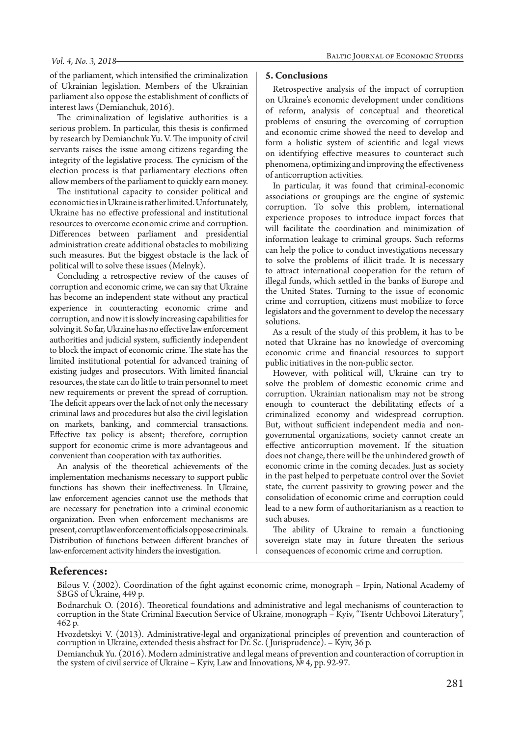#### *Vol. 4, No. 3, 2018*

of the parliament, which intensified the criminalization of Ukrainian legislation. Members of the Ukrainian parliament also oppose the establishment of conflicts of interest laws (Demianchuk, 2016).

The criminalization of legislative authorities is a serious problem. In particular, this thesis is confirmed by research by Demianchuk Yu. V. The impunity of civil servants raises the issue among citizens regarding the integrity of the legislative process. The cynicism of the election process is that parliamentary elections often allow members of the parliament to quickly earn money.

The institutional capacity to consider political and economic ties in Ukraine is rather limited. Unfortunately, Ukraine has no effective professional and institutional resources to overcome economic crime and corruption. Differences between parliament and presidential administration create additional obstacles to mobilizing such measures. But the biggest obstacle is the lack of political will to solve these issues (Melnyk).

Concluding a retrospective review of the causes of corruption and economic crime, we can say that Ukraine has become an independent state without any practical experience in counteracting economic crime and corruption, and now it is slowly increasing capabilities for solving it. So far, Ukraine has no effective law enforcement authorities and judicial system, sufficiently independent to block the impact of economic crime. The state has the limited institutional potential for advanced training of existing judges and prosecutors. With limited financial resources, the state can do little to train personnel to meet new requirements or prevent the spread of corruption. The deficit appears over the lack of not only the necessary criminal laws and procedures but also the civil legislation on markets, banking, and commercial transactions. Effective tax policy is absent; therefore, corruption support for economic crime is more advantageous and convenient than cooperation with tax authorities.

An analysis of the theoretical achievements of the implementation mechanisms necessary to support public functions has shown their ineffectiveness. In Ukraine, law enforcement agencies cannot use the methods that are necessary for penetration into a criminal economic organization. Even when enforcement mechanisms are present, corrupt law enforcement officials oppose criminals. Distribution of functions between different branches of law-enforcement activity hinders the investigation.

#### **5. Conclusions**

Retrospective analysis of the impact of corruption on Ukraine's economic development under conditions of reform, analysis of conceptual and theoretical problems of ensuring the overcoming of corruption and economic crime showed the need to develop and form a holistic system of scientific and legal views on identifying effective measures to counteract such phenomena, optimizing and improving the effectiveness of anticorruption activities.

In particular, it was found that criminal-economic associations or groupings are the engine of systemic corruption. To solve this problem, international experience proposes to introduce impact forces that will facilitate the coordination and minimization of information leakage to criminal groups. Such reforms can help the police to conduct investigations necessary to solve the problems of illicit trade. It is necessary to attract international cooperation for the return of illegal funds, which settled in the banks of Europe and the United States. Turning to the issue of economic crime and corruption, citizens must mobilize to force legislators and the government to develop the necessary solutions.

As a result of the study of this problem, it has to be noted that Ukraine has no knowledge of overcoming economic crime and financial resources to support public initiatives in the non-public sector.

However, with political will, Ukraine can try to solve the problem of domestic economic crime and corruption. Ukrainian nationalism may not be strong enough to counteract the debilitating effects of a criminalized economy and widespread corruption. But, without sufficient independent media and nongovernmental organizations, society cannot create an effective anticorruption movement. If the situation does not change, there will be the unhindered growth of economic crime in the coming decades. Just as society in the past helped to perpetuate control over the Soviet state, the current passivity to growing power and the consolidation of economic crime and corruption could lead to a new form of authoritarianism as a reaction to such abuses.

The ability of Ukraine to remain a functioning sovereign state may in future threaten the serious consequences of economic crime and corruption.

### **References:**

Bilous V. (2002). Coordination of the fight against economic crime, monograph – Irpin, National Academy of SBGS of Ukraine, 449 p.

Demianchuk Yu. (2016). Modern administrative and legal means of prevention and counteraction of corruption in the system of civil service of Ukraine – Kyiv, Law and Innovations, № 4, pp. 92-97.

Bodnarchuk O. (2016). Theoretical foundations and administrative and legal mechanisms of counteraction to corruption in the State Criminal Execution Service of Ukraine, monograph – Kyiv, "Tsentr Uchbovoi Literatury", 462 p.

Hvozdetskyi V. (2013). Administrative-legal and organizational principles of prevention and counteraction of corruption in Ukraine, extended thesis abstract for Dr. Sc. ( Jurisprudence). – Kyiv, 36 p.